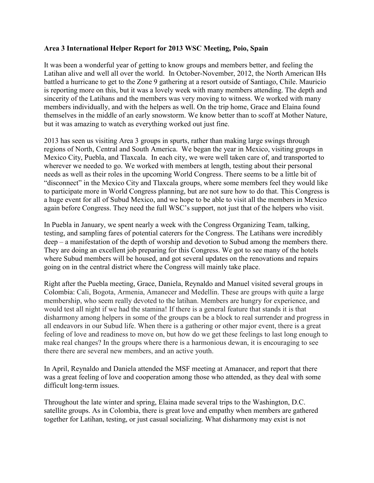## **Area 3 International Helper Report for 2013 WSC Meeting, Poio, Spain**

It was been a wonderful year of getting to know groups and members better, and feeling the Latihan alive and well all over the world. In October-November, 2012, the North American IHs battled a hurricane to get to the Zone 9 gathering at a resort outside of Santiago, Chile. Mauricio is reporting more on this, but it was a lovely week with many members attending. The depth and sincerity of the Latihans and the members was very moving to witness. We worked with many members individually, and with the helpers as well. On the trip home, Grace and Elaina found themselves in the middle of an early snowstorm. We know better than to scoff at Mother Nature, but it was amazing to watch as everything worked out just fine.

2013 has seen us visiting Area 3 groups in spurts, rather than making large swings through regions of North, Central and South America. We began the year in Mexico, visiting groups in Mexico City, Puebla, and Tlaxcala. In each city, we were well taken care of, and transported to wherever we needed to go. We worked with members at length, testing about their personal needs as well as their roles in the upcoming World Congress. There seems to be a little bit of "disconnect" in the Mexico City and Tlaxcala groups, where some members feel they would like to participate more in World Congress planning, but are not sure how to do that. This Congress is a huge event for all of Subud Mexico, and we hope to be able to visit all the members in Mexico again before Congress. They need the full WSC's support, not just that of the helpers who visit.

In Puebla in January, we spent nearly a week with the Congress Organizing Team, talking, testing, and sampling fares of potential caterers for the Congress. The Latihans were incredibly deep – a manifestation of the depth of worship and devotion to Subud among the members there. They are doing an excellent job preparing for this Congress. We got to see many of the hotels where Subud members will be housed, and got several updates on the renovations and repairs going on in the central district where the Congress will mainly take place.

Right after the Puebla meeting, Grace, Daniela, Reynaldo and Manuel visited several groups in Colombia: Cali, Bogota, Armenia, Amanecer and Medellin. These are groups with quite a large membership, who seem really devoted to the latihan. Members are hungry for experience, and would test all night if we had the stamina! If there is a general feature that stands it is that disharmony among helpers in some of the groups can be a block to real surrender and progress in all endeavors in our Subud life. When there is a gathering or other major event, there is a great feeling of love and readiness to move on, but how do we get these feelings to last long enough to make real changes? In the groups where there is a harmonious dewan, it is encouraging to see there there are several new members, and an active youth.

In April, Reynaldo and Daniela attended the MSF meeting at Amanacer, and report that there was a great feeling of love and cooperation among those who attended, as they deal with some difficult long-term issues.

Throughout the late winter and spring, Elaina made several trips to the Washington, D.C. satellite groups. As in Colombia, there is great love and empathy when members are gathered together for Latihan, testing, or just casual socializing. What disharmony may exist is not